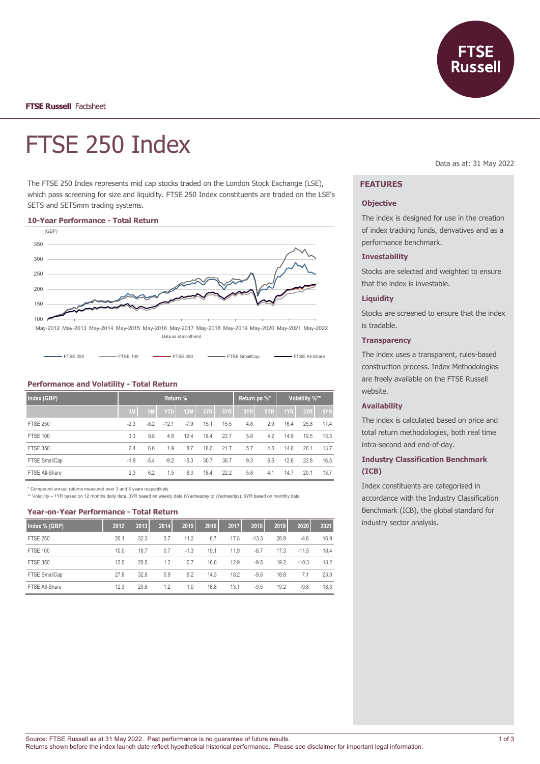**Russell** 

# FTSE 250 Index

The FTSE 250 Index represents mid cap stocks traded on the London Stock Exchange (LSE), which pass screening for size and liquidity. FTSE 250 Index constituents are traded on the LSE's SETS and SETSmm trading systems.

#### **10-Year Performance - Total Return**



| $F = 350$<br><b>EXAMPLE SMAIL CAD</b><br>$F = 100$<br>$F = F = 250$ | FTSE All-Share |
|---------------------------------------------------------------------|----------------|
|---------------------------------------------------------------------|----------------|

## **Performance and Volatility - Total Return**

| Index (GBP)     |        | Return pa %* |            | Volatility %** |      |      |     |     |      |      |      |
|-----------------|--------|--------------|------------|----------------|------|------|-----|-----|------|------|------|
|                 | 3M     | 6M           | <b>YTD</b> | 12M            | 3YR  | 5YR  | 3YR | 5YR | 1YR  | 3YR  | 5YR  |
| <b>FTSE 250</b> | $-2.3$ | $-8.2$       | $-12.1$    | $-7.9$         | 15.1 | 15.5 | 4.8 | 2.9 | 16.4 | 25.8 | 17.4 |
| <b>FTSE 100</b> | 3.3    | 9.8          | 4.8        | 12.4           | 18.4 | 22.7 | 5.8 | 4.2 | 14.9 | 19.5 | 13.3 |
| <b>FTSE 350</b> | 2.4    | 6.6          | 1.9        | 8.7            | 18.0 | 21.7 | 5.7 | 4.0 | 14.8 | 20.1 | 13.7 |
| FTSE SmallCap   | $-1.9$ | $-5.4$       | $-9.2$     | $-5.3$         | 30.7 | 36.7 | 9.3 | 6.5 | 12.6 | 22.8 | 16.5 |
| FTSE All-Share  | 2.3    | 6.2          | 1.5        | 8.3            | 18.4 | 22.2 | 5.8 | 4.1 | 14.7 | 20.1 | 13.7 |

Compound annual returns measured over 3 and 5 years respectively

\*\* Volatility – 1YR based on 12 months daily data. 3YR based on weekly data (Wednesday to Wednesday). 5YR based on monthly data

## **Year-on-Year Performance - Total Return**

| Index % (GBP)   | 2012 | 2013 | 2014 | 2015   | 2016 | 2017 | 2018    | 2019 | 2020    | 2021 |
|-----------------|------|------|------|--------|------|------|---------|------|---------|------|
| <b>FTSE 250</b> | 26.1 | 32.3 | 3.7  | 11.2   | 6.7  | 17.8 | $-13.3$ | 28.9 | $-4.6$  | 16.9 |
| <b>FTSE 100</b> | 10.0 | 18.7 | 0.7  | $-1.3$ | 19.1 | 11.9 | $-8.7$  | 17.3 | $-11.5$ | 18.4 |
| <b>FTSE 350</b> | 12.0 | 20.5 | 1.2  | 0.7    | 16.8 | 12.9 | $-9.5$  | 19.2 | $-10.3$ | 18.2 |
| FTSE SmallCap   | 27.8 | 32.8 | 0.9  | 9.2    | 14.3 | 18.2 | $-9.5$  | 18.8 | 7.1     | 23.0 |
| FTSE All-Share  | 12.3 | 20.8 | 1.2  | 1.0    | 16.8 | 13.1 | $-9.5$  | 19.2 | $-9.8$  | 18.3 |

Data as at: 31 May 2022

## **FEATURES**

## **Objective**

The index is designed for use in the creation of index tracking funds, derivatives and as a performance benchmark.

#### **Investability**

Stocks are selected and weighted to ensure that the index is investable.

## **Liquidity**

Stocks are screened to ensure that the index is tradable.

#### **Transparency**

The index uses a transparent, rules-based construction process. Index Methodologies are freely available on the FTSE Russell website.

## **Availability**

The index is calculated based on price and total return methodologies, both real time intra-second and end-of-day.

## **Industry Classification Benchmark (ICB)**

Index constituents are categorised in accordance with the Industry Classification Benchmark (ICB), the global standard for industry sector analysis.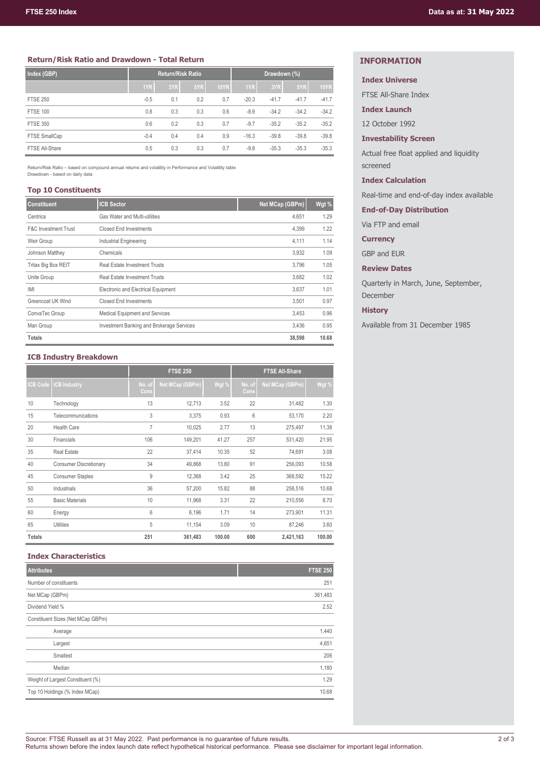## **Return/Risk Ratio and Drawdown - Total Return**

| Index (GBP)     |        | <b>Return/Risk Ratio</b> |     |             | Drawdown (%) |         |         |             |
|-----------------|--------|--------------------------|-----|-------------|--------------|---------|---------|-------------|
|                 | 1YR    | 3YR                      | 5YR | <b>10YR</b> | 1YR          | 3YR     | 5YR     | <b>10YR</b> |
| <b>FTSE 250</b> | $-0.5$ | 0.1                      | 0.2 | 0.7         | $-20.3$      | $-41.7$ | $-41.7$ | $-41.7$     |
| <b>FTSE 100</b> | 0.8    | 0.3                      | 0.3 | 0.6         | $-8.9$       | $-34.2$ | $-34.2$ | $-34.2$     |
| <b>FTSE 350</b> | 0.6    | 0.2                      | 0.3 | 0.7         | $-9.7$       | $-35.2$ | $-35.2$ | $-35.2$     |
| FTSE SmallCap   | $-0.4$ | 0.4                      | 0.4 | 0.9         | $-16.3$      | $-39.8$ | $-39.8$ | $-39.8$     |
| FTSE All-Share  | 0.5    | 0.3                      | 0.3 | 0.7         | $-9.8$       | $-35.3$ | $-35.3$ | $-35.3$     |

Return/Risk Ratio – based on compound annual returns and volatility in Performance and Volatility table Drawdown - based on daily data

## **Top 10 Constituents**

| <b>Constituent</b>              | <b>ICB Sector</b>                         | Net MCap (GBPm) | Wgt % |
|---------------------------------|-------------------------------------------|-----------------|-------|
| Centrica                        | Gas Water and Multi-utilities             | 4.651           | 1.29  |
| <b>F&amp;C Investment Trust</b> | Closed End Investments                    | 4,399           | 1.22  |
| Weir Group                      | Industrial Engineering                    | 4,111           | 1.14  |
| Johnson Matthey                 | Chemicals                                 | 3.932           | 1.09  |
| Tritax Big Box REIT             | <b>Real Estate Investment Trusts</b>      | 3.796           | 1.05  |
| Unite Group                     | <b>Real Estate Investment Trusts</b>      | 3,682           | 1.02  |
| IMI                             | Electronic and Electrical Equipment       | 3.637           | 1.01  |
| Greencoat UK Wind               | <b>Closed End Investments</b>             | 3.501           | 0.97  |
| ConvaTec Group                  | <b>Medical Equipment and Services</b>     | 3,453           | 0.96  |
| Man Group                       | Investment Banking and Brokerage Services | 3.436           | 0.95  |
| <b>Totals</b>                   |                                           | 38,598          | 10.68 |

## **ICB Industry Breakdown**

|                 |                               |                 | <b>FTSE 250</b> |        | <b>FTSE All-Share</b> |                 |        |  |  |
|-----------------|-------------------------------|-----------------|-----------------|--------|-----------------------|-----------------|--------|--|--|
| <b>ICB Code</b> | <b>CB Industry</b>            | No. of<br>Cons, | Net MCap (GBPm) | Wgt %  | No. of<br>Cons        | Net MCap (GBPm) | Wgt %  |  |  |
| 10              | Technology                    | 13              | 12,713          | 3.52   | 22                    | 31,482          | 1.30   |  |  |
| 15              | Telecommunications            | 3               | 3,375           | 0.93   | 6                     | 53,170          | 2.20   |  |  |
| 20              | <b>Health Care</b>            | $\overline{7}$  | 10,025          | 2.77   | 13                    | 275,497         | 11.38  |  |  |
| 30              | Financials                    | 106             | 149,201         | 41.27  | 257                   | 531,420         | 21.95  |  |  |
| 35              | <b>Real Estate</b>            | 22              | 37,414          | 10.35  | 52                    | 74,691          | 3.08   |  |  |
| 40              | <b>Consumer Discretionary</b> | 34              | 49.868          | 13.80  | 91                    | 256,093         | 10.58  |  |  |
| 45              | <b>Consumer Staples</b>       | 9               | 12,368          | 3.42   | 25                    | 368,592         | 15.22  |  |  |
| 50              | Industrials                   | 36              | 57,200          | 15.82  | 88                    | 258,516         | 10.68  |  |  |
| 55              | <b>Basic Materials</b>        | 10              | 11,968          | 3.31   | 22                    | 210,556         | 8.70   |  |  |
| 60              | Energy                        | 6               | 6,196           | 1.71   | 14                    | 273,901         | 11.31  |  |  |
| 65              | Utilities                     | 5               | 11,154          | 3.09   | 10                    | 87,246          | 3.60   |  |  |
| <b>Totals</b>   |                               | 251             | 361,483         | 100.00 | 600                   | 2,421,163       | 100.00 |  |  |

## **Index Characteristics**

| <b>Attributes</b>                 | <b>FTSE 250</b> |
|-----------------------------------|-----------------|
| Number of constituents            | 251             |
| Net MCap (GBPm)                   | 361,483         |
| Dividend Yield %                  | 2.52            |
| Constituent Sizes (Net MCap GBPm) |                 |
| Average                           | 1,440           |
| Largest                           | 4,651           |
| Smallest                          | 206             |
| Median                            | 1,180           |
| Weight of Largest Constituent (%) | 1.29            |
| Top 10 Holdings (% Index MCap)    | 10.68           |

## **INFORMATION**

## **Index Universe**

FTSE All-Share Index

**Index Launch**

12 October 1992

## **Investability Screen**

Actual free float applied and liquidity screened

**Index Calculation**

Real-time and end-of-day index available

**End-of-Day Distribution**

Via FTP and email

**Currency**

GBP and EUR

**Review Dates**

Quarterly in March, June, September, December

## **History**

Available from 31 December 1985